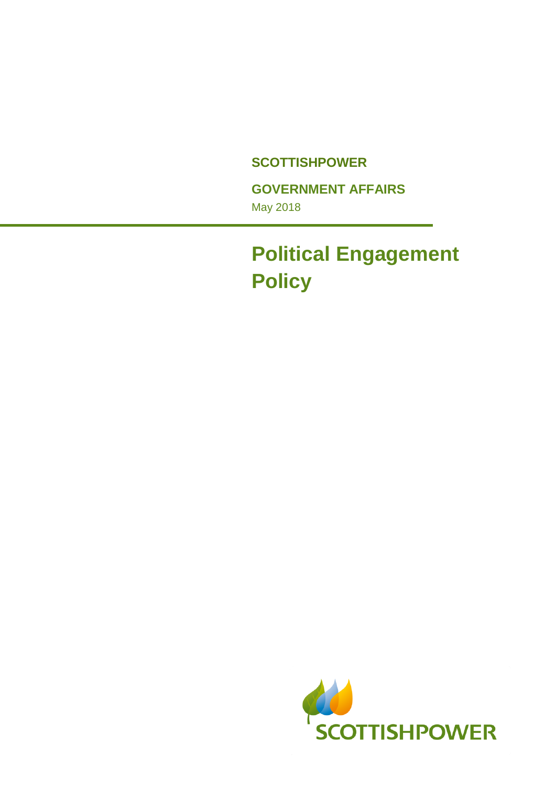#### **SCOTTISHPOWER**

**GOVERNMENT AFFAIRS** 

May 2018

# **Political Engagement Policy**

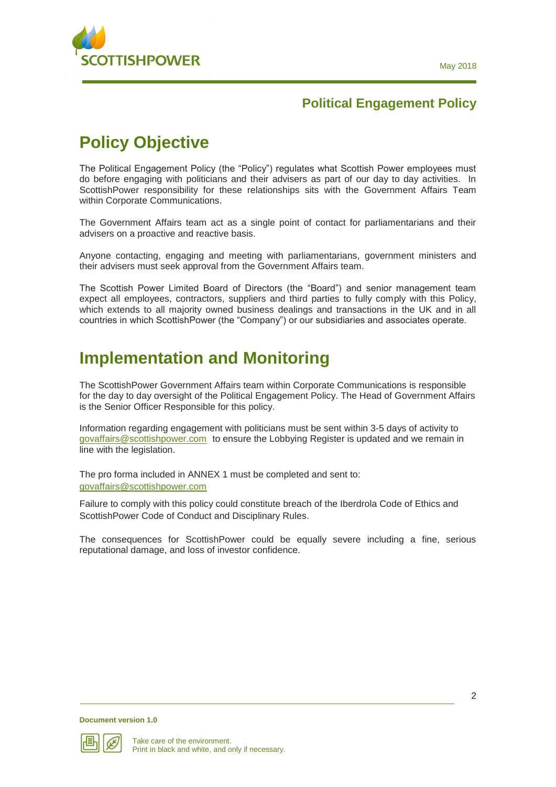

## **Policy Objective**

The Political Engagement Policy (the "Policy") regulates what Scottish Power employees must do before engaging with politicians and their advisers as part of our day to day activities. In ScottishPower responsibility for these relationships sits with the Government Affairs Team within Corporate Communications.

The Government Affairs team act as a single point of contact for parliamentarians and their advisers on a proactive and reactive basis.

Anyone contacting, engaging and meeting with parliamentarians, government ministers and their advisers must seek approval from the Government Affairs team.

The Scottish Power Limited Board of Directors (the "Board") and senior management team expect all employees, contractors, suppliers and third parties to fully comply with this Policy, which extends to all majority owned business dealings and transactions in the UK and in all countries in which ScottishPower (the "Company") or our subsidiaries and associates operate.

### **Implementation and Monitoring**

The ScottishPower Government Affairs team within Corporate Communications is responsible for the day to day oversight of the Political Engagement Policy. The Head of Government Affairs is the Senior Officer Responsible for this policy.

Information regarding engagement with politicians must be sent within 3-5 days of activity to [govaffairs@scottishpower.com](mailto:govaffairs@scottishpower.com) to ensure the Lobbying Register is updated and we remain in line with the legislation.

The pro forma included in ANNEX 1 must be completed and sent to: [govaffairs@scottishpower.com](mailto:govaffairs@scottishpower.com) 

Failure to comply with this policy could constitute breach of the Iberdrola Code of Ethics and ScottishPower Code of Conduct and Disciplinary Rules.

The consequences for ScottishPower could be equally severe including a fine, serious reputational damage, and loss of investor confidence.

**Document version 1.0**

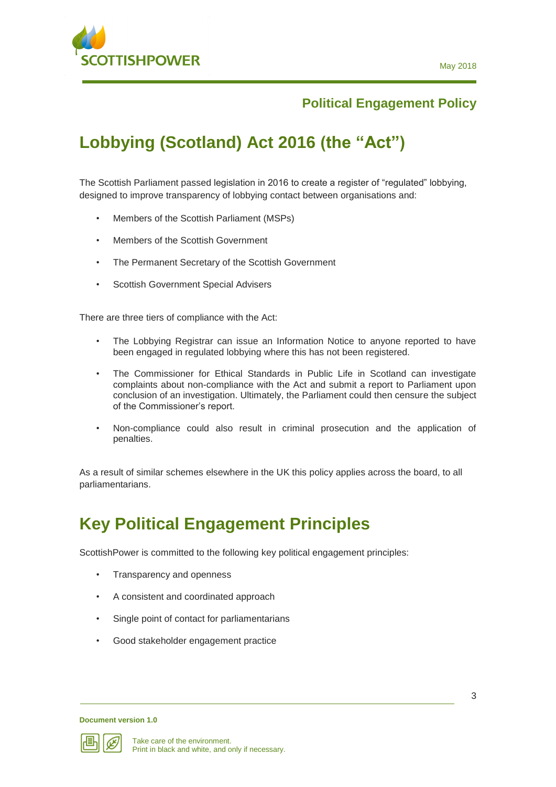

## **Lobbying (Scotland) Act 2016 (the "Act")**

The Scottish Parliament passed legislation in 2016 to create a register of "regulated" lobbying, designed to improve transparency of lobbying contact between organisations and:

- Members of the Scottish Parliament (MSPs)
- Members of the Scottish Government
- The Permanent Secretary of the Scottish Government
- Scottish Government Special Advisers

There are three tiers of compliance with the Act:

- The Lobbying Registrar can issue an Information Notice to anyone reported to have been engaged in regulated lobbying where this has not been registered.
- The Commissioner for Ethical Standards in Public Life in Scotland can investigate complaints about non-compliance with the Act and submit a report to Parliament upon conclusion of an investigation. Ultimately, the Parliament could then censure the subject of the Commissioner's report.
- Non-compliance could also result in criminal prosecution and the application of penalties.

As a result of similar schemes elsewhere in the UK this policy applies across the board, to all parliamentarians.

### **Key Political Engagement Principles**

ScottishPower is committed to the following key political engagement principles:

- Transparency and openness
- A consistent and coordinated approach
- Single point of contact for parliamentarians
- Good stakeholder engagement practice

**Document version 1.0**



3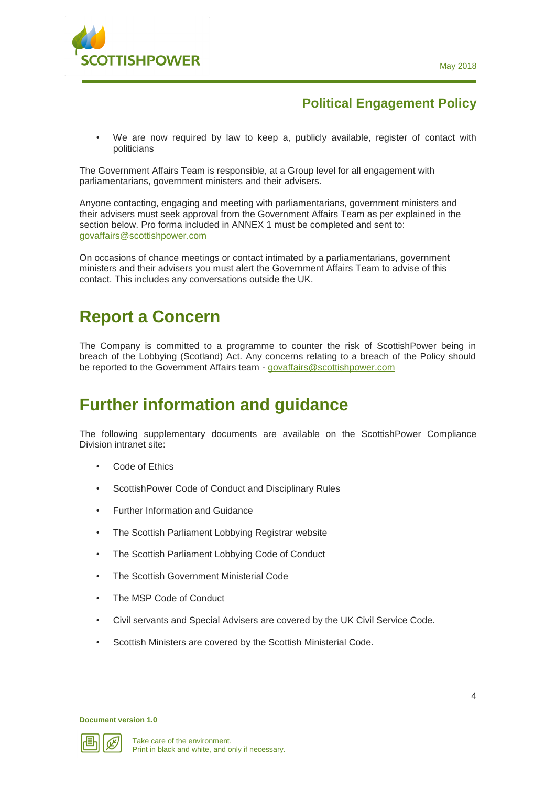

• We are now required by law to keep a, publicly available, register of contact with politicians

The Government Affairs Team is responsible, at a Group level for all engagement with parliamentarians, government ministers and their advisers.

Anyone contacting, engaging and meeting with parliamentarians, government ministers and their advisers must seek approval from the Government Affairs Team as per explained in the section below. Pro forma included in ANNEX 1 must be completed and sent to: [govaffairs@scottishpower.com](mailto:govaffairs@scottishpower.com) 

On occasions of chance meetings or contact intimated by a parliamentarians, government ministers and their advisers you must alert the Government Affairs Team to advise of this contact. This includes any conversations outside the UK.

#### **Report a Concern**

The Company is committed to a programme to counter the risk of ScottishPower being in breach of the Lobbying (Scotland) Act. Any concerns relating to a breach of the Policy should be reported to the Government Affairs team - [govaffairs@scottishpower.com](mailto:govaffairs@scottishpower.com) 

### **Further information and guidance**

The following supplementary documents are available on the ScottishPower Compliance Division intranet site:

- Code of Ethics
- ScottishPower Code of Conduct and Disciplinary Rules
- Further Information and Guidance
- The Scottish Parliament Lobbying Registrar website
- The Scottish Parliament Lobbying Code of Conduct
- The Scottish Government Ministerial Code
- The MSP Code of Conduct
- Civil servants and Special Advisers are covered by the UK Civil Service Code.
- Scottish Ministers are covered by the Scottish Ministerial Code.

**Document version 1.0**